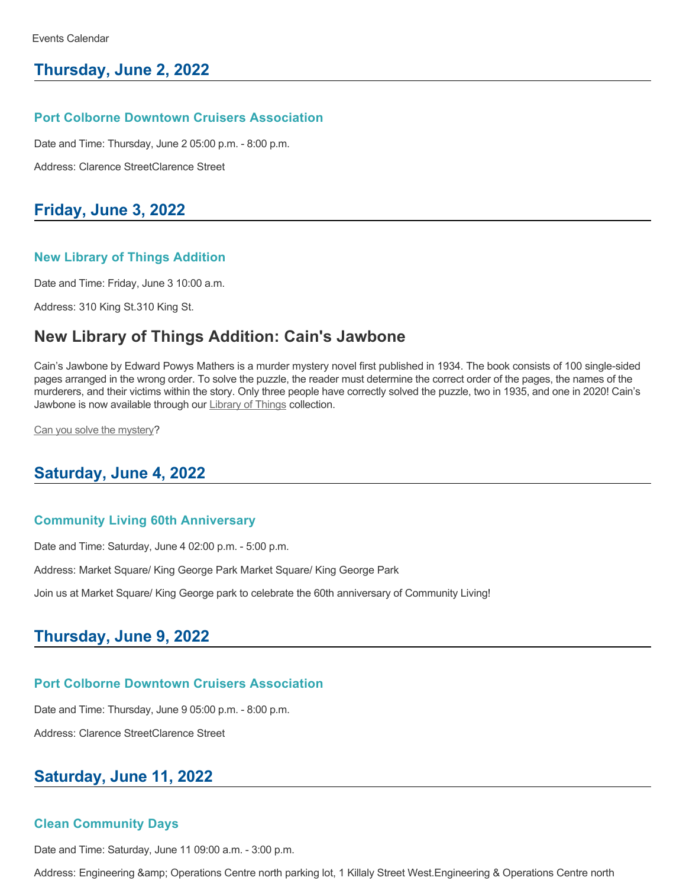## **Thursday, June 2, 2022**

#### **Port Colborne Downtown Cruisers Association**

Date and Time: Thursday, June 2 05:00 p.m. - 8:00 p.m.

Address: Clarence StreetClarence Street

## **Friday, June 3, 2022**

#### **New Library of Things Addition**

Date and Time: Friday, June 3 10:00 a.m.

Address: 310 King St.310 King St.

# **New Library of Things Addition: Cain's Jawbone**

Cain's Jawbone by Edward Powys Mathers is a murder mystery novel first published in 1934. The book consists of 100 single-sided pages arranged in the wrong order. To solve the puzzle, the reader must determine the correct order of the pages, the names of the murderers, and their victims within the story. Only three people have correctly solved the puzzle, two in 1935, and one in 2020! Cain's Jawbone is now available through our [Library of Things](https://www.portcolborne.ca/en/recreation-and-leisure/library-of-things.aspx) collection.

[Can you solve the mystery](https://portcolborne.niagaraevergreen.ca/eg/opac/record/789785)?

## **Saturday, June 4, 2022**

#### **Community Living 60th Anniversary**

Date and Time: Saturday, June 4 02:00 p.m. - 5:00 p.m.

Address: Market Square/ King George Park Market Square/ King George Park

Join us at Market Square/ King George park to celebrate the 60th anniversary of Community Living!

## **Thursday, June 9, 2022**

#### **Port Colborne Downtown Cruisers Association**

Date and Time: Thursday, June 9 05:00 p.m. - 8:00 p.m.

Address: Clarence StreetClarence Street

## **Saturday, June 11, 2022**

#### **Clean Community Days**

Date and Time: Saturday, June 11 09:00 a.m. - 3:00 p.m.

Address: Engineering & Operations Centre north parking lot, 1 Killaly Street West.Engineering & Operations Centre north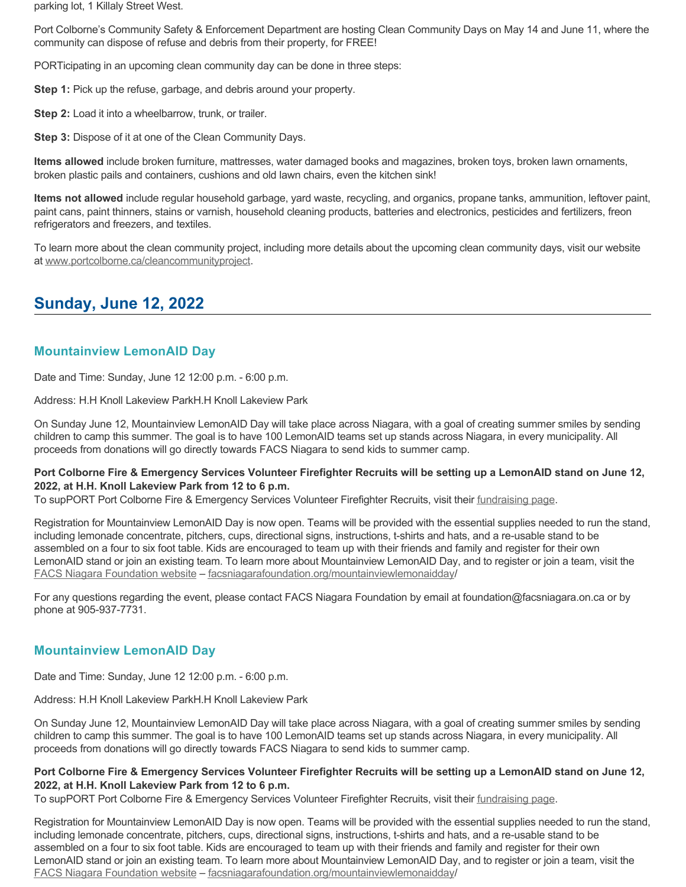parking lot, 1 Killaly Street West.

Port Colborne's Community Safety & Enforcement Department are hosting Clean Community Days on May 14 and June 11, where the community can dispose of refuse and debris from their property, for FREE!

PORTicipating in an upcoming clean community day can be done in three steps:

**Step 1:** Pick up the refuse, garbage, and debris around your property.

**Step 2:** Load it into a wheelbarrow, trunk, or trailer.

**Step 3:** Dispose of it at one of the Clean Community Days.

**Items allowed** include broken furniture, mattresses, water damaged books and magazines, broken toys, broken lawn ornaments, broken plastic pails and containers, cushions and old lawn chairs, even the kitchen sink!

**Items not allowed** include regular household garbage, yard waste, recycling, and organics, propane tanks, ammunition, leftover paint, paint cans, paint thinners, stains or varnish, household cleaning products, batteries and electronics, pesticides and fertilizers, freon refrigerators and freezers, and textiles.

To learn more about the clean community project, including more details about the upcoming clean community days, visit our website at [www.portcolborne.ca/cleancommunityproject.](http://www.portcolborne.ca/cleancommunityproject)

# **Sunday, June 12, 2022**

## **Mountainview LemonAID Day**

Date and Time: Sunday, June 12 12:00 p.m. - 6:00 p.m.

Address: H.H Knoll Lakeview ParkH.H Knoll Lakeview Park

On Sunday June 12, Mountainview LemonAID Day will take place across Niagara, with a goal of creating summer smiles by sending children to camp this summer. The goal is to have 100 LemonAID teams set up stands across Niagara, in every municipality. All proceeds from donations will go directly towards FACS Niagara to send kids to summer camp.

#### **Port Colborne Fire & Emergency Services Volunteer Firefighter Recruits will be setting up a LemonAID stand on June 12, 2022, at H.H. Knoll Lakeview Park from 12 to 6 p.m.**

To supPORT Port Colborne Fire & Emergency Services Volunteer Firefighter Recruits, visit their [fundraising page](https://www.canadahelps.org/en/charities/niagara-foundation-for-family-and-childrens-services/p2p/MountainviewLemonAIDDay/team/port-colborne-fire-emergency-services/captain/port-colborne-fire-emergency-services/).

Registration for Mountainview LemonAID Day is now open. Teams will be provided with the essential supplies needed to run the stand, including lemonade concentrate, pitchers, cups, directional signs, instructions, t-shirts and hats, and a re-usable stand to be assembled on a four to six foot table. Kids are encouraged to team up with their friends and family and register for their own LemonAID stand or join an existing team. To learn more about Mountainview LemonAID Day, and to register or join a team, visit the [FACS Niagara Foundation website](https://facsniagarafoundation.org/mountainviewlemonaidday/) – [facsniagarafoundation.org/mountainviewlemonaidday/](https://facsniagarafoundation.org/mountainviewlemonaidday/)

For any questions regarding the event, please contact FACS Niagara Foundation by email at foundation@facsniagara.on.ca or by phone at 905-937-7731.

## **Mountainview LemonAID Day**

Date and Time: Sunday, June 12 12:00 p.m. - 6:00 p.m.

Address: H.H Knoll Lakeview ParkH.H Knoll Lakeview Park

On Sunday June 12, Mountainview LemonAID Day will take place across Niagara, with a goal of creating summer smiles by sending children to camp this summer. The goal is to have 100 LemonAID teams set up stands across Niagara, in every municipality. All proceeds from donations will go directly towards FACS Niagara to send kids to summer camp.

#### **Port Colborne Fire & Emergency Services Volunteer Firefighter Recruits will be setting up a LemonAID stand on June 12, 2022, at H.H. Knoll Lakeview Park from 12 to 6 p.m.**

To supPORT Port Colborne Fire & Emergency Services Volunteer Firefighter Recruits, visit their [fundraising page](https://www.canadahelps.org/en/charities/niagara-foundation-for-family-and-childrens-services/p2p/MountainviewLemonAIDDay/team/port-colborne-fire-emergency-services/captain/port-colborne-fire-emergency-services/).

Registration for Mountainview LemonAID Day is now open. Teams will be provided with the essential supplies needed to run the stand, including lemonade concentrate, pitchers, cups, directional signs, instructions, t-shirts and hats, and a re-usable stand to be assembled on a four to six foot table. Kids are encouraged to team up with their friends and family and register for their own LemonAID stand or join an existing team. To learn more about Mountainview LemonAID Day, and to register or join a team, visit the [FACS Niagara Foundation website](https://facsniagarafoundation.org/mountainviewlemonaidday/) – [facsniagarafoundation.org/mountainviewlemonaidday/](https://facsniagarafoundation.org/mountainviewlemonaidday/)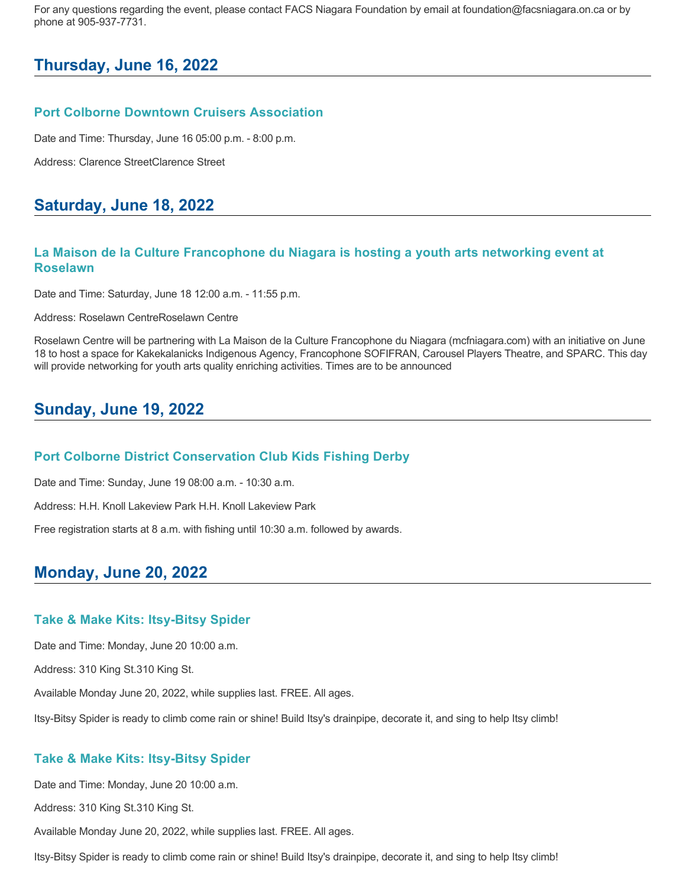For any questions regarding the event, please contact FACS Niagara Foundation by email at foundation@facsniagara.on.ca or by phone at 905-937-7731.

## **Thursday, June 16, 2022**

#### **Port Colborne Downtown Cruisers Association**

Date and Time: Thursday, June 16 05:00 p.m. - 8:00 p.m.

Address: Clarence StreetClarence Street

## **Saturday, June 18, 2022**

### **La Maison de la Culture Francophone du Niagara is hosting a youth arts networking event at Roselawn**

Date and Time: Saturday, June 18 12:00 a.m. - 11:55 p.m.

Address: Roselawn CentreRoselawn Centre

Roselawn Centre will be partnering with La Maison de la Culture Francophone du Niagara (mcfniagara.com) with an initiative on June 18 to host a space for Kakekalanicks Indigenous Agency, Francophone SOFIFRAN, Carousel Players Theatre, and SPARC. This day will provide networking for youth arts quality enriching activities. Times are to be announced

# **Sunday, June 19, 2022**

#### **Port Colborne District Conservation Club Kids Fishing Derby**

Date and Time: Sunday, June 19 08:00 a.m. - 10:30 a.m.

Address: H.H. Knoll Lakeview Park H.H. Knoll Lakeview Park

Free registration starts at 8 a.m. with fishing until 10:30 a.m. followed by awards.

# **Monday, June 20, 2022**

#### **Take & Make Kits: Itsy-Bitsy Spider**

Date and Time: Monday, June 20 10:00 a.m.

Address: 310 King St.310 King St.

Available Monday June 20, 2022, while supplies last. FREE. All ages.

Itsy-Bitsy Spider is ready to climb come rain or shine! Build Itsy's drainpipe, decorate it, and sing to help Itsy climb!

#### **Take & Make Kits: Itsy-Bitsy Spider**

Date and Time: Monday, June 20 10:00 a.m.

Address: 310 King St.310 King St.

Available Monday June 20, 2022, while supplies last. FREE. All ages.

Itsy-Bitsy Spider is ready to climb come rain or shine! Build Itsy's drainpipe, decorate it, and sing to help Itsy climb!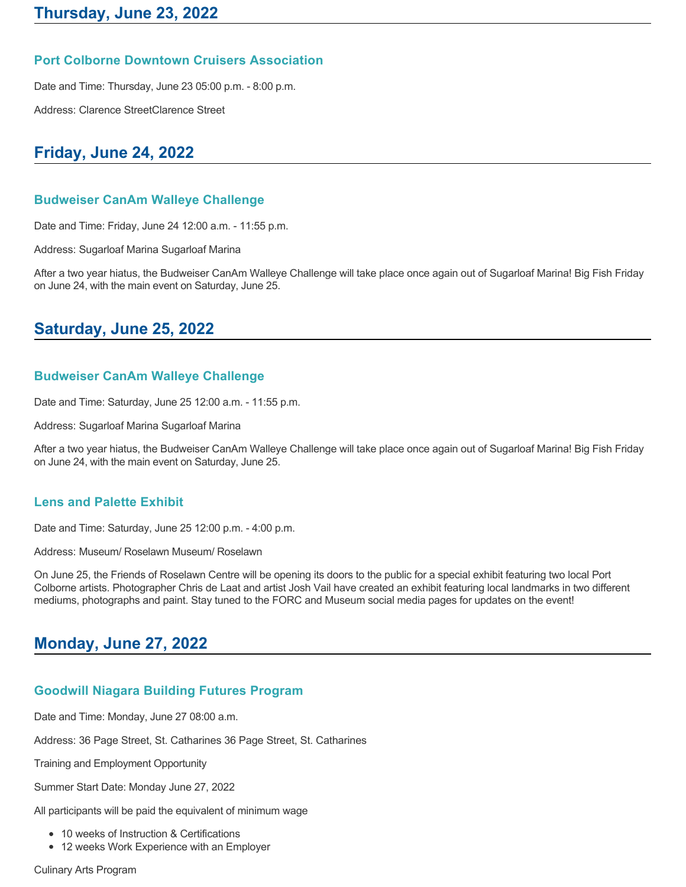### **Port Colborne Downtown Cruisers Association**

Date and Time: Thursday, June 23 05:00 p.m. - 8:00 p.m.

Address: Clarence StreetClarence Street

# **Friday, June 24, 2022**

## **Budweiser CanAm Walleye Challenge**

Date and Time: Friday, June 24 12:00 a.m. - 11:55 p.m.

Address: Sugarloaf Marina Sugarloaf Marina

After a two year hiatus, the Budweiser CanAm Walleye Challenge will take place once again out of Sugarloaf Marina! Big Fish Friday on June 24, with the main event on Saturday, June 25.

# **Saturday, June 25, 2022**

### **Budweiser CanAm Walleye Challenge**

Date and Time: Saturday, June 25 12:00 a.m. - 11:55 p.m.

Address: Sugarloaf Marina Sugarloaf Marina

After a two year hiatus, the Budweiser CanAm Walleye Challenge will take place once again out of Sugarloaf Marina! Big Fish Friday on June 24, with the main event on Saturday, June 25.

### **Lens and Palette Exhibit**

Date and Time: Saturday, June 25 12:00 p.m. - 4:00 p.m.

Address: Museum/ Roselawn Museum/ Roselawn

On June 25, the Friends of Roselawn Centre will be opening its doors to the public for a special exhibit featuring two local Port Colborne artists. Photographer Chris de Laat and artist Josh Vail have created an exhibit featuring local landmarks in two different mediums, photographs and paint. Stay tuned to the FORC and Museum social media pages for updates on the event!

# **Monday, June 27, 2022**

## **Goodwill Niagara Building Futures Program**

Date and Time: Monday, June 27 08:00 a.m.

Address: 36 Page Street, St. Catharines 36 Page Street, St. Catharines

Training and Employment Opportunity

Summer Start Date: Monday June 27, 2022

All participants will be paid the equivalent of minimum wage

- 10 weeks of Instruction & Certifications
- 12 weeks Work Experience with an Employer

Culinary Arts Program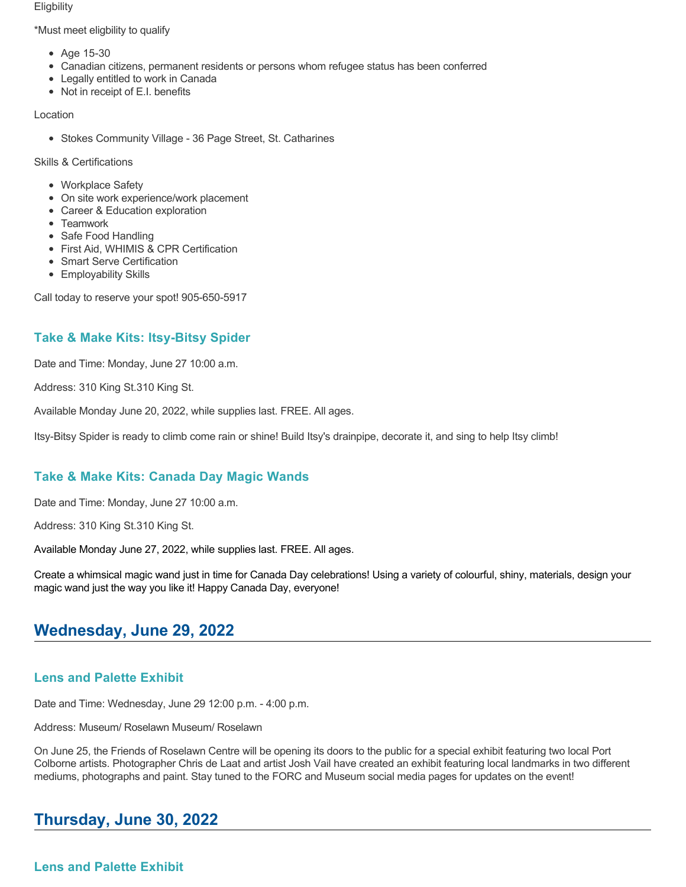**Eligbility** 

\*Must meet eligbility to qualify

- Age 15-30
- Canadian citizens, permanent residents or persons whom refugee status has been conferred
- Legally entitled to work in Canada
- Not in receipt of E.I. benefits

#### Location

• Stokes Community Village - 36 Page Street, St. Catharines

Skills & Certifications

- Workplace Safety
- On site work experience/work placement
- Career & Education exploration
- Teamwork
- Safe Food Handling
- First Aid, WHIMIS & CPR Certification
- Smart Serve Certification
- Employability Skills

Call today to reserve your spot! 905-650-5917

## **Take & Make Kits: Itsy-Bitsy Spider**

Date and Time: Monday, June 27 10:00 a.m.

Address: 310 King St.310 King St.

Available Monday June 20, 2022, while supplies last. FREE. All ages.

Itsy-Bitsy Spider is ready to climb come rain or shine! Build Itsy's drainpipe, decorate it, and sing to help Itsy climb!

## **Take & Make Kits: Canada Day Magic Wands**

Date and Time: Monday, June 27 10:00 a.m.

Address: 310 King St.310 King St.

Available Monday June 27, 2022, while supplies last. FREE. All ages.

Create a whimsical magic wand just in time for Canada Day celebrations! Using a variety of colourful, shiny, materials, design your magic wand just the way you like it! Happy Canada Day, everyone!

# **Wednesday, June 29, 2022**

## **Lens and Palette Exhibit**

Date and Time: Wednesday, June 29 12:00 p.m. - 4:00 p.m.

Address: Museum/ Roselawn Museum/ Roselawn

On June 25, the Friends of Roselawn Centre will be opening its doors to the public for a special exhibit featuring two local Port Colborne artists. Photographer Chris de Laat and artist Josh Vail have created an exhibit featuring local landmarks in two different mediums, photographs and paint. Stay tuned to the FORC and Museum social media pages for updates on the event!

# **Thursday, June 30, 2022**

**Lens and Palette Exhibit**